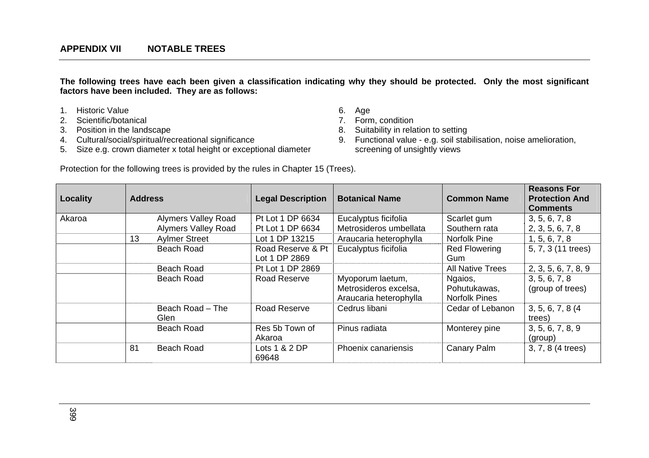**The following trees have each been given a classification indicating why they should be protected. Only the most significant factors have been included. They are as follows:** 

- 1. Historic Value 6. Age
- 2. Scientific/botanical 7. Form, condition
- 
- 3. Position in the landscape<br>
4. Cultural/social/spiritual/recreational significance<br>
9. Functional value e.g. soil sta
- 5. Size e.g. crown diameter x total height or exceptional diameter
- 
- 
- 
- 9. Functional value e.g. soil stabilisation, noise amelioration, screening of unsightly views

Protection for the following trees is provided by the rules in Chapter 15 (Trees).

| <b>Locality</b> | <b>Address</b> |                                 | <b>Legal Description</b> | <b>Botanical Name</b>                                               | <b>Common Name</b>                              | <b>Reasons For</b><br><b>Protection And</b><br><b>Comments</b> |
|-----------------|----------------|---------------------------------|--------------------------|---------------------------------------------------------------------|-------------------------------------------------|----------------------------------------------------------------|
| Akaroa          |                | <b>Alymers Valley Road</b>      | Pt Lot 1 DP 6634         | Eucalyptus ficifolia                                                | Scarlet gum                                     | 3, 5, 6, 7, 8                                                  |
|                 |                | <b>Alymers Valley Road</b>      | Pt Lot 1 DP 6634         | Metrosideros umbellata                                              | Southern rata                                   | 2, 3, 5, 6, 7, 8                                               |
|                 | 13             | <b>Aylmer Street</b>            | Lot 1 DP 13215           | Araucaria heterophylla                                              | Norfolk Pine                                    | 1, 5, 6, 7, 8                                                  |
|                 |                | <b>Beach Road</b>               | Road Reserve & Pt        | Eucalyptus ficifolia                                                | <b>Red Flowering</b>                            | 5, 7, 3 (11 trees)                                             |
|                 |                |                                 | Lot 1 DP 2869            |                                                                     | Gum                                             |                                                                |
|                 |                | <b>Beach Road</b>               | Pt Lot 1 DP 2869         |                                                                     | <b>All Native Trees</b>                         | 2, 3, 5, 6, 7, 8, 9                                            |
|                 |                | Beach Road                      | Road Reserve             | Myoporum laetum,<br>Metrosideros excelsa,<br>Araucaria heterophylla | Ngaios,<br>Pohutukawas,<br><b>Norfolk Pines</b> | 3, 5, 6, 7, 8<br>(group of trees)                              |
|                 |                | Beach Road - The<br><b>Glen</b> | Road Reserve             | Cedrus libani                                                       | Cedar of Lebanon                                | 3, 5, 6, 7, 8 (4)<br>trees)                                    |
|                 |                | <b>Beach Road</b>               | Res 5b Town of<br>Akaroa | Pinus radiata                                                       | Monterey pine                                   | 3, 5, 6, 7, 8, 9<br>(group)                                    |
|                 | 81             | <b>Beach Road</b>               | Lots $1 & 2$ DP<br>69648 | Phoenix canariensis                                                 | <b>Canary Palm</b>                              | 3, 7, 8 (4 trees)                                              |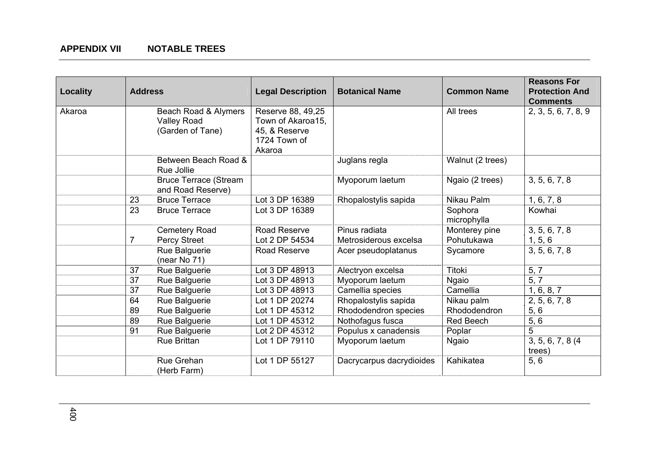| <b>Locality</b> | <b>Address</b> |                                                                | <b>Legal Description</b>                                                          | <b>Botanical Name</b>    | <b>Common Name</b>     | <b>Reasons For</b><br><b>Protection And</b><br><b>Comments</b> |
|-----------------|----------------|----------------------------------------------------------------|-----------------------------------------------------------------------------------|--------------------------|------------------------|----------------------------------------------------------------|
| Akaroa          |                | Beach Road & Alymers<br><b>Valley Road</b><br>(Garden of Tane) | Reserve 88, 49,25<br>Town of Akaroa15,<br>45, & Reserve<br>1724 Town of<br>Akaroa |                          | All trees              | 2, 3, 5, 6, 7, 8, 9                                            |
|                 |                | Between Beach Road &<br>Rue Jollie                             |                                                                                   | Juglans regla            | Walnut (2 trees)       |                                                                |
|                 |                | <b>Bruce Terrace (Stream</b><br>and Road Reserve)              |                                                                                   | Myoporum laetum          | Ngaio (2 trees)        | 3, 5, 6, 7, 8                                                  |
|                 | 23             | <b>Bruce Terrace</b>                                           | Lot 3 DP 16389                                                                    | Rhopalostylis sapida     | Nikau Palm             | 1, 6, 7, 8                                                     |
|                 | 23             | <b>Bruce Terrace</b>                                           | Lot 3 DP 16389                                                                    |                          | Sophora<br>microphylla | Kowhai                                                         |
|                 |                | <b>Cemetery Road</b>                                           | Road Reserve                                                                      | Pinus radiata            | Monterey pine          | 3, 5, 6, 7, 8                                                  |
|                 | $\overline{7}$ | Percy Street                                                   | Lot 2 DP 54534                                                                    | Metrosiderous excelsa    | Pohutukawa             | 1, 5, 6                                                        |
|                 |                | Rue Balguerie<br>(near No 71)                                  | Road Reserve                                                                      | Acer pseudoplatanus      | Sycamore               | 3, 5, 6, 7, 8                                                  |
|                 | 37             | Rue Balguerie                                                  | Lot 3 DP 48913                                                                    | Alectryon excelsa        | <b>Titoki</b>          | 5, 7                                                           |
|                 | 37             | Rue Balguerie                                                  | Lot 3 DP 48913                                                                    | Myoporum laetum          | Ngaio                  | 5, 7                                                           |
|                 | 37             | Rue Balguerie                                                  | Lot 3 DP 48913                                                                    | Camellia species         | Camellia               | 1, 6, 8, 7                                                     |
|                 | 64             | Rue Balguerie                                                  | Lot 1 DP 20274                                                                    | Rhopalostylis sapida     | Nikau palm             | 2, 5, 6, 7, 8                                                  |
|                 | 89             | Rue Balguerie                                                  | Lot 1 DP 45312                                                                    | Rhododendron species     | Rhododendron           | 5, 6                                                           |
|                 | 89             | Rue Balguerie                                                  | Lot 1 DP 45312                                                                    | Nothofagus fusca         | <b>Red Beech</b>       | 5, 6                                                           |
|                 | 91             | Rue Balguerie                                                  | Lot 2 DP 45312                                                                    | Populus x canadensis     | Poplar                 | $\overline{5}$                                                 |
|                 |                | <b>Rue Brittan</b>                                             | Lot 1 DP 79110                                                                    | Myoporum laetum          | <b>Ngaio</b>           | 3, 5, 6, 7, 8 (4)<br>trees)                                    |
|                 |                | Rue Grehan<br>(Herb Farm)                                      | Lot 1 DP 55127                                                                    | Dacrycarpus dacrydioides | Kahikatea              | 5, 6                                                           |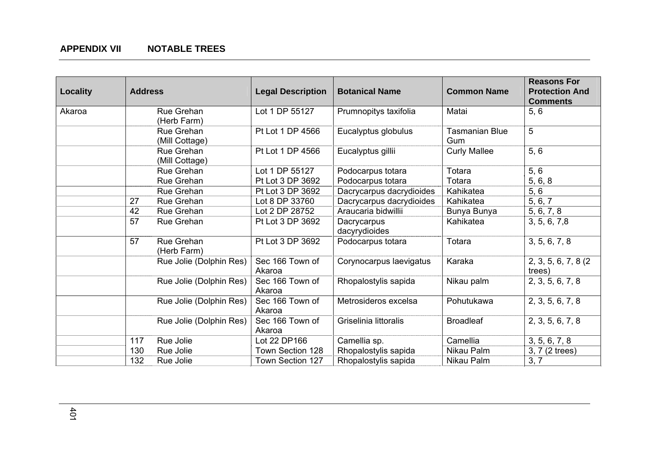| Locality | <b>Address</b> |                              | <b>Legal Description</b>  | <b>Botanical Name</b>        | <b>Common Name</b>           | <b>Reasons For</b><br><b>Protection And</b><br><b>Comments</b> |
|----------|----------------|------------------------------|---------------------------|------------------------------|------------------------------|----------------------------------------------------------------|
| Akaroa   |                | Rue Grehan<br>(Herb Farm)    | Lot 1 DP 55127            | Prumnopitys taxifolia        | Matai                        | 5, 6                                                           |
|          |                | Rue Grehan<br>(Mill Cottage) | Pt Lot 1 DP 4566          | Eucalyptus globulus          | <b>Tasmanian Blue</b><br>Gum | 5                                                              |
|          |                | Rue Grehan<br>(Mill Cottage) | Pt Lot 1 DP 4566          | Eucalyptus gillii            | <b>Curly Mallee</b>          | 5, 6                                                           |
|          |                | Rue Grehan                   | Lot 1 DP 55127            | Podocarpus totara            | Totara                       | 5, 6                                                           |
|          |                | Rue Grehan                   | Pt Lot 3 DP 3692          | Podocarpus totara            | Totara                       | 5, 6, 8                                                        |
|          |                | Rue Grehan                   | Pt Lot 3 DP 3692          | Dacrycarpus dacrydioides     | Kahikatea                    | 5, 6                                                           |
|          | 27             | Rue Grehan                   | Lot 8 DP 33760            | Dacrycarpus dacrydioides     | Kahikatea                    | 5, 6, 7                                                        |
|          | 42             | Rue Grehan                   | Lot 2 DP 28752            | Araucaria bidwillii          | Bunya Bunya                  | 5, 6, 7, 8                                                     |
|          | 57             | Rue Grehan                   | Pt Lot 3 DP 3692          | Dacrycarpus<br>dacyrydioides | Kahikatea                    | 3, 5, 6, 7, 8                                                  |
|          | 57             | Rue Grehan<br>(Herb Farm)    | Pt Lot 3 DP 3692          | Podocarpus totara            | Totara                       | 3, 5, 6, 7, 8                                                  |
|          |                | Rue Jolie (Dolphin Res)      | Sec 166 Town of<br>Akaroa | Corynocarpus laevigatus      | Karaka                       | 2, 3, 5, 6, 7, 8 (2)<br>trees)                                 |
|          |                | Rue Jolie (Dolphin Res)      | Sec 166 Town of<br>Akaroa | Rhopalostylis sapida         | Nikau palm                   | 2, 3, 5, 6, 7, 8                                               |
|          |                | Rue Jolie (Dolphin Res)      | Sec 166 Town of<br>Akaroa | Metrosideros excelsa         | Pohutukawa                   | 2, 3, 5, 6, 7, 8                                               |
|          |                | Rue Jolie (Dolphin Res)      | Sec 166 Town of<br>Akaroa | Griselinia littoralis        | <b>Broadleaf</b>             | 2, 3, 5, 6, 7, 8                                               |
|          | 117            | Rue Jolie                    | Lot 22 DP166              | Camellia sp.                 | Camellia                     | 3, 5, 6, 7, 8                                                  |
|          | 130            | Rue Jolie                    | Town Section 128          | Rhopalostylis sapida         | Nikau Palm                   | 3, 7 (2 trees)                                                 |
|          | 132            | Rue Jolie                    | Town Section 127          | Rhopalostylis sapida         | Nikau Palm                   | 3, 7                                                           |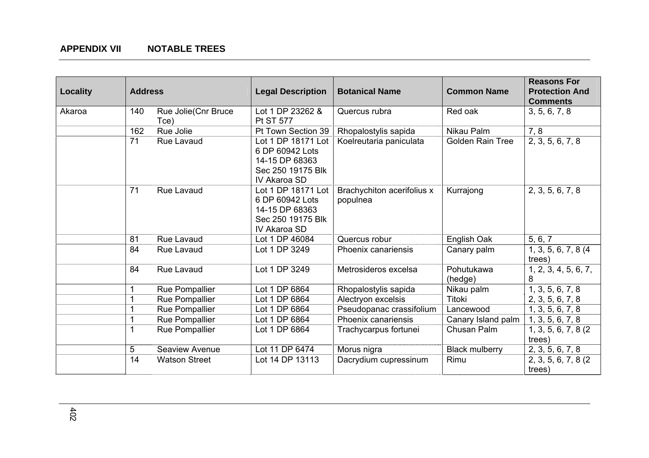| <b>Locality</b> | <b>Address</b> |                              | <b>Legal Description</b>                                                                     | <b>Botanical Name</b>                  | <b>Common Name</b>      | <b>Reasons For</b><br><b>Protection And</b><br><b>Comments</b> |
|-----------------|----------------|------------------------------|----------------------------------------------------------------------------------------------|----------------------------------------|-------------------------|----------------------------------------------------------------|
| Akaroa          | 140            | Rue Jolie (Cnr Bruce<br>Tce) | Lot 1 DP 23262 &<br><b>Pt ST 577</b>                                                         | Quercus rubra                          | Red oak                 | 3, 5, 6, 7, 8                                                  |
|                 | 162            | Rue Jolie                    | Pt Town Section 39                                                                           | Rhopalostylis sapida                   | Nikau Palm              | 7, 8                                                           |
|                 | 71             | Rue Lavaud                   | Lot 1 DP 18171 Lot<br>6 DP 60942 Lots<br>14-15 DP 68363<br>Sec 250 19175 Blk<br>IV Akaroa SD | Koelreutaria paniculata                | <b>Golden Rain Tree</b> | 2, 3, 5, 6, 7, 8                                               |
|                 | 71             | <b>Rue Lavaud</b>            | Lot 1 DP 18171 Lot<br>6 DP 60942 Lots<br>14-15 DP 68363<br>Sec 250 19175 Blk<br>IV Akaroa SD | Brachychiton acerifolius x<br>populnea | Kurrajong               | 2, 3, 5, 6, 7, 8                                               |
|                 | 81             | Rue Lavaud                   | Lot 1 DP 46084                                                                               | Quercus robur                          | English Oak             | 5, 6, 7                                                        |
|                 | 84             | Rue Lavaud                   | Lot 1 DP 3249                                                                                | Phoenix canariensis                    | Canary palm             | 1, 3, 5, 6, 7, 8 (4)<br>trees)                                 |
|                 | 84             | Rue Lavaud                   | Lot 1 DP 3249                                                                                | Metrosideros excelsa                   | Pohutukawa<br>(hedge)   | 1, 2, 3, 4, 5, 6, 7,<br>8                                      |
|                 |                | Rue Pompallier               | Lot 1 DP 6864                                                                                | Rhopalostylis sapida                   | Nikau palm              | 1, 3, 5, 6, 7, 8                                               |
|                 |                | <b>Rue Pompallier</b>        | Lot 1 DP 6864                                                                                | Alectryon excelsis                     | <b>Titoki</b>           | 2, 3, 5, 6, 7, 8                                               |
|                 |                | Rue Pompallier               | Lot 1 DP 6864                                                                                | Pseudopanac crassifolium               | Lancewood               | 1, 3, 5, 6, 7, 8                                               |
|                 |                | Rue Pompallier               | Lot 1 DP 6864                                                                                | Phoenix canariensis                    | Canary Island palm      | 1, 3, 5, 6, 7, 8                                               |
|                 |                | <b>Rue Pompallier</b>        | Lot 1 DP 6864                                                                                | Trachycarpus fortunei                  | Chusan Palm             | 1, 3, 5, 6, 7, 8 (2)<br>trees)                                 |
|                 | 5              | Seaview Avenue               | Lot 11 DP 6474                                                                               | Morus nigra                            | <b>Black mulberry</b>   | 2, 3, 5, 6, 7, 8                                               |
|                 | 14             | <b>Watson Street</b>         | Lot 14 DP 13113                                                                              | Dacrydium cupressinum                  | Rimu                    | 2, 3, 5, 6, 7, 8 (2)<br>trees)                                 |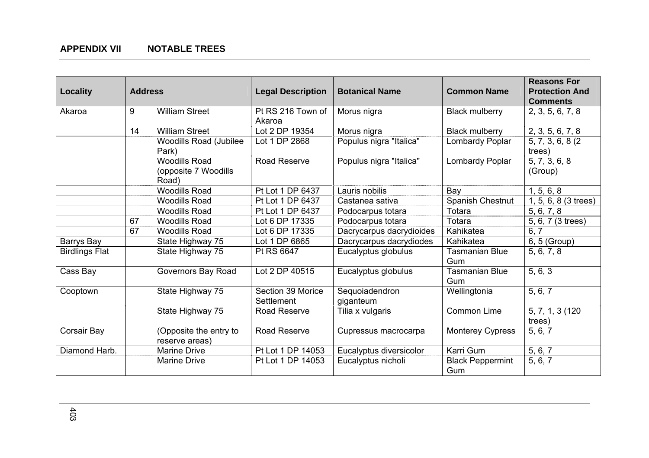| <b>Locality</b>       | <b>Address</b> |                                                       | <b>Legal Description</b>        | <b>Botanical Name</b>       | <b>Common Name</b>             | <b>Reasons For</b><br><b>Protection And</b><br><b>Comments</b> |
|-----------------------|----------------|-------------------------------------------------------|---------------------------------|-----------------------------|--------------------------------|----------------------------------------------------------------|
| Akaroa                | 9              | <b>William Street</b>                                 | Pt RS 216 Town of<br>Akaroa     | Morus nigra                 | <b>Black mulberry</b>          | 2, 3, 5, 6, 7, 8                                               |
|                       | 14             | <b>William Street</b>                                 | Lot 2 DP 19354                  | Morus nigra                 | <b>Black mulberry</b>          | 2, 3, 5, 6, 7, 8                                               |
|                       |                | <b>Woodills Road (Jubilee</b><br>Park)                | Lot 1 DP 2868                   | Populus nigra "Italica"     | Lombardy Poplar                | 5, 7, 3, 6, 8 (2)<br>trees)                                    |
|                       |                | <b>Woodills Road</b><br>(opposite 7 Woodills<br>Road) | Road Reserve                    | Populus nigra "Italica"     | Lombardy Poplar                | 5, 7, 3, 6, 8<br>(Group)                                       |
|                       |                | <b>Woodills Road</b>                                  | Pt Lot 1 DP 6437                | Lauris nobilis              | Bay                            | 1, 5, 6, 8                                                     |
|                       |                | <b>Woodills Road</b>                                  | Pt Lot 1 DP 6437                | Castanea sativa             | Spanish Chestnut               | 1, 5, 6, 8 (3 trees)                                           |
|                       |                | <b>Woodills Road</b>                                  | Pt Lot 1 DP 6437                | Podocarpus totara           | Totara                         | 5, 6, 7, 8                                                     |
|                       | 67             | <b>Woodills Road</b>                                  | Lot 6 DP 17335                  | Podocarpus totara           | Totara                         | 5, 6, 7 (3 trees)                                              |
|                       | 67             | <b>Woodills Road</b>                                  | Lot 6 DP 17335                  | Dacrycarpus dacrydioides    | Kahikatea                      | 6, 7                                                           |
| Barrys Bay            |                | State Highway 75                                      | Lot 1 DP 6865                   | Dacrycarpus dacrydiodes     | Kahikatea                      | 6, 5 (Group)                                                   |
| <b>Birdlings Flat</b> |                | State Highway 75                                      | Pt RS 6647                      | Eucalyptus globulus         | <b>Tasmanian Blue</b><br>Gum   | 5, 6, 7, 8                                                     |
| Cass Bay              |                | <b>Governors Bay Road</b>                             | Lot 2 DP 40515                  | Eucalyptus globulus         | <b>Tasmanian Blue</b><br>Gum   | 5, 6, 3                                                        |
| Cooptown              |                | State Highway 75                                      | Section 39 Morice<br>Settlement | Sequoiadendron<br>giganteum | Wellingtonia                   | 5, 6, 7                                                        |
|                       |                | State Highway 75                                      | Road Reserve                    | Tilia x vulgaris            | Common Lime                    | 5, 7, 1, 3 (120<br>trees)                                      |
| Corsair Bay           |                | (Opposite the entry to<br>reserve areas)              | Road Reserve                    | Cupressus macrocarpa        | <b>Monterey Cypress</b>        | 5, 6, 7                                                        |
| Diamond Harb.         |                | <b>Marine Drive</b>                                   | Pt Lot 1 DP 14053               | Eucalyptus diversicolor     | Karri Gum                      | 5, 6, 7                                                        |
|                       |                | <b>Marine Drive</b>                                   | Pt Lot 1 DP 14053               | Eucalyptus nicholi          | <b>Black Peppermint</b><br>Gum | 5, 6, 7                                                        |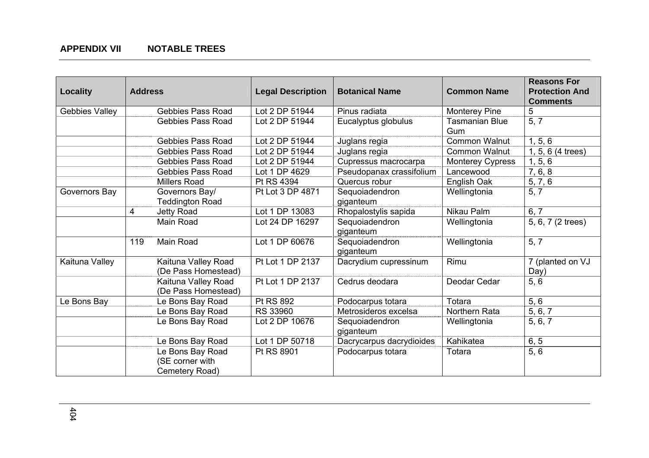| <b>Locality</b> | <b>Address</b> |                                                       | <b>Legal Description</b> | <b>Botanical Name</b>       | <b>Common Name</b>           | <b>Reasons For</b><br><b>Protection And</b><br><b>Comments</b> |
|-----------------|----------------|-------------------------------------------------------|--------------------------|-----------------------------|------------------------------|----------------------------------------------------------------|
| Gebbies Valley  |                | <b>Gebbies Pass Road</b>                              | Lot 2 DP 51944           | Pinus radiata               | <b>Monterey Pine</b>         | 5                                                              |
|                 |                | <b>Gebbies Pass Road</b>                              | Lot 2 DP 51944           | Eucalyptus globulus         | <b>Tasmanian Blue</b><br>Gum | 5, 7                                                           |
|                 |                | <b>Gebbies Pass Road</b>                              | Lot 2 DP 51944           | Juglans regia               | <b>Common Walnut</b>         | 1, 5, 6                                                        |
|                 |                | Gebbies Pass Road                                     | Lot 2 DP 51944           | Juglans regia               | <b>Common Walnut</b>         | 1, 5, 6 (4 trees)                                              |
|                 |                | <b>Gebbies Pass Road</b>                              | Lot 2 DP 51944           | Cupressus macrocarpa        | <b>Monterey Cypress</b>      | 1, 5, 6                                                        |
|                 |                | <b>Gebbies Pass Road</b>                              | Lot 1 DP 4629            | Pseudopanax crassifolium    | Lancewood                    | 7, 6, 8                                                        |
|                 |                | <b>Millers Road</b>                                   | Pt RS 4394               | Quercus robur               | English Oak                  | 5, 7, 6                                                        |
| Governors Bay   |                | Governors Bay/<br><b>Teddington Road</b>              | Pt Lot 3 DP 4871         | Sequoiadendron<br>giganteum | Wellingtonia                 | 5, 7                                                           |
|                 | 4              | Jetty Road                                            | Lot 1 DP 13083           | Rhopalostylis sapida        | Nikau Palm                   | 6, 7                                                           |
|                 |                | Main Road                                             | Lot 24 DP 16297          | Sequoiadendron<br>giganteum | Wellingtonia                 | 5, 6, 7 (2 trees)                                              |
|                 | 119            | Main Road                                             | Lot 1 DP 60676           | Sequoiadendron<br>giganteum | Wellingtonia                 | 5, 7                                                           |
| Kaituna Valley  |                | Kaituna Valley Road<br>(De Pass Homestead)            | Pt Lot 1 DP 2137         | Dacrydium cupressinum       | Rimu                         | 7 (planted on VJ<br>Day)                                       |
|                 |                | Kaituna Valley Road<br>(De Pass Homestead)            | Pt Lot 1 DP 2137         | Cedrus deodara              | Deodar Cedar                 | 5, 6                                                           |
| Le Bons Bay     |                | Le Bons Bay Road                                      | Pt RS 892                | Podocarpus totara           | Totara                       | 5, 6                                                           |
|                 |                | Le Bons Bay Road                                      | RS 33960                 | Metrosideros excelsa        | Northern Rata                | 5, 6, 7                                                        |
|                 |                | Le Bons Bay Road                                      | Lot 2 DP 10676           | Sequoiadendron<br>giganteum | Wellingtonia                 | 5, 6, 7                                                        |
|                 |                | Le Bons Bay Road                                      | Lot 1 DP 50718           | Dacrycarpus dacrydioides    | Kahikatea                    | 6, 5                                                           |
|                 |                | Le Bons Bay Road<br>(SE corner with<br>Cemetery Road) | Pt RS 8901               | Podocarpus totara           | Totara                       | 5, 6                                                           |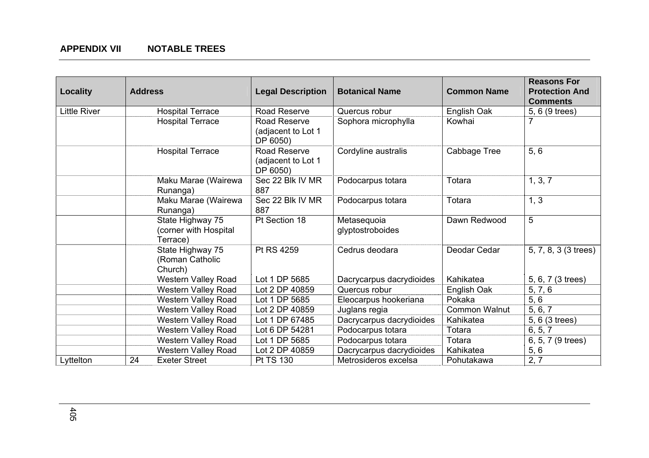| Locality            | <b>Address</b>                                        | <b>Legal Description</b>                       | <b>Botanical Name</b>           | <b>Common Name</b>   | <b>Reasons For</b><br><b>Protection And</b><br><b>Comments</b> |
|---------------------|-------------------------------------------------------|------------------------------------------------|---------------------------------|----------------------|----------------------------------------------------------------|
| <b>Little River</b> | <b>Hospital Terrace</b>                               | Road Reserve                                   | Quercus robur                   | English Oak          | 5, 6 (9 trees)                                                 |
|                     | <b>Hospital Terrace</b>                               | Road Reserve<br>(adjacent to Lot 1<br>DP 6050) | Sophora microphylla             | Kowhai               |                                                                |
|                     | <b>Hospital Terrace</b>                               | Road Reserve<br>(adjacent to Lot 1<br>DP 6050) | Cordyline australis             | Cabbage Tree         | 5, 6                                                           |
|                     | Maku Marae (Wairewa<br>Runanga)                       | Sec 22 Blk IV MR<br>887                        | Podocarpus totara               | Totara               | 1, 3, 7                                                        |
|                     | Maku Marae (Wairewa<br>Runanga)                       | Sec 22 Blk IV MR<br>887                        | Podocarpus totara               | Totara               | 1, 3                                                           |
|                     | State Highway 75<br>(corner with Hospital<br>Terrace) | Pt Section 18                                  | Metasequoia<br>glyptostroboides | Dawn Redwood         | 5                                                              |
|                     | State Highway 75<br>(Roman Catholic<br>Church)        | Pt RS 4259                                     | Cedrus deodara                  | Deodar Cedar         | 5, 7, 8, 3 (3 trees)                                           |
|                     | <b>Western Valley Road</b>                            | Lot 1 DP 5685                                  | Dacrycarpus dacrydioides        | Kahikatea            | 5, 6, 7 (3 trees)                                              |
|                     | <b>Western Valley Road</b>                            | Lot 2 DP 40859                                 | Quercus robur                   | English Oak          | 5, 7, 6                                                        |
|                     | <b>Western Valley Road</b>                            | Lot 1 DP 5685                                  | Eleocarpus hookeriana           | Pokaka               | 5, 6                                                           |
|                     | <b>Western Valley Road</b>                            | Lot 2 DP 40859                                 | Juglans regia                   | <b>Common Walnut</b> | 5, 6, 7                                                        |
|                     | <b>Western Valley Road</b>                            | Lot 1 DP 67485                                 | Dacrycarpus dacrydioides        | Kahikatea            | 5, 6 (3 trees)                                                 |
|                     | <b>Western Valley Road</b>                            | Lot 6 DP 54281                                 | Podocarpus totara               | Totara               | 6, 5, 7                                                        |
|                     | <b>Western Valley Road</b>                            | Lot 1 DP 5685                                  | Podocarpus totara               | Totara               | 6, 5, 7 (9 trees)                                              |
|                     | <b>Western Valley Road</b>                            | Lot 2 DP 40859                                 | Dacrycarpus dacrydioides        | Kahikatea            | 5, 6                                                           |
| Lyttelton           | 24<br><b>Exeter Street</b>                            | Pt TS 130                                      | Metrosideros excelsa            | Pohutakawa           | 2, 7                                                           |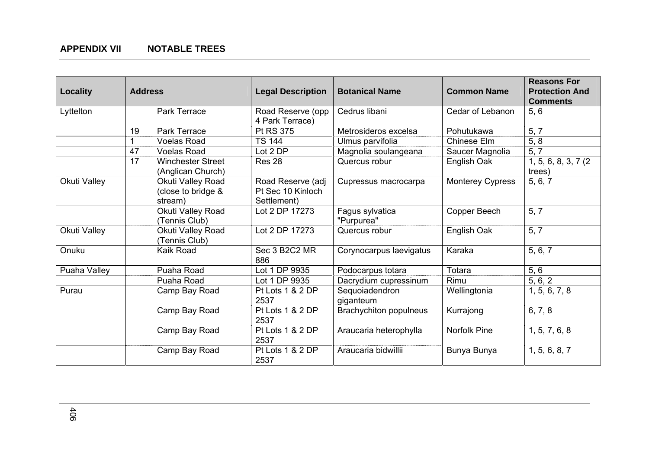| <b>Locality</b> | <b>Address</b> |                                                    | <b>Legal Description</b>                              | <b>Botanical Name</b>         | <b>Common Name</b>      | <b>Reasons For</b><br><b>Protection And</b> |
|-----------------|----------------|----------------------------------------------------|-------------------------------------------------------|-------------------------------|-------------------------|---------------------------------------------|
| Lyttelton       |                | Park Terrace                                       | Road Reserve (opp<br>4 Park Terrace)                  | Cedrus libani                 | Cedar of Lebanon        | <b>Comments</b><br>5, 6                     |
|                 | 19             | Park Terrace                                       | <b>Pt RS 375</b>                                      | Metrosideros excelsa          | Pohutukawa              | 5, 7                                        |
|                 |                | <b>Voelas Road</b>                                 | <b>TS 144</b>                                         | Ulmus parvifolia              | Chinese Elm             | 5, 8                                        |
|                 | 47             | <b>Voelas Road</b>                                 | Lot 2 DP                                              | Magnolia soulangeana          | Saucer Magnolia         | 5, 7                                        |
|                 | 17             | <b>Winchester Street</b><br>(Anglican Church)      | Res <sub>28</sub>                                     | Quercus robur                 | English Oak             | 1, 5, 6, 8, 3, 7 (2)<br>trees)              |
| Okuti Valley    |                | Okuti Valley Road<br>(close to bridge &<br>stream) | Road Reserve (adj<br>Pt Sec 10 Kinloch<br>Settlement) | Cupressus macrocarpa          | <b>Monterey Cypress</b> | 5, 6, 7                                     |
|                 |                | Okuti Valley Road<br>(Tennis Club)                 | Lot 2 DP 17273                                        | Fagus sylvatica<br>"Purpurea" | Copper Beech            | 5, 7                                        |
| Okuti Valley    |                | Okuti Valley Road<br>(Tennis Club)                 | Lot 2 DP 17273                                        | Quercus robur                 | English Oak             | 5, 7                                        |
| Onuku           |                | Kaik Road                                          | Sec 3 B2C2 MR<br>886                                  | Corynocarpus laevigatus       | Karaka                  | 5, 6, 7                                     |
| Puaha Valley    |                | Puaha Road                                         | Lot 1 DP 9935                                         | Podocarpus totara             | Totara                  | 5, 6                                        |
|                 |                | Puaha Road                                         | Lot 1 DP 9935                                         | Dacrydium cupressinum         | Rimu                    | 5, 6, 2                                     |
| Purau           |                | Camp Bay Road                                      | Pt Lots 1 & 2 DP<br>2537                              | Sequoiadendron<br>giganteum   | Wellingtonia            | 1, 5, 6, 7, 8                               |
|                 |                | Camp Bay Road                                      | Pt Lots 1 & 2 DP<br>2537                              | Brachychiton populneus        | Kurrajong               | 6, 7, 8                                     |
|                 |                | Camp Bay Road                                      | Pt Lots 1 & 2 DP<br>2537                              | Araucaria heterophylla        | <b>Norfolk Pine</b>     | 1, 5, 7, 6, 8                               |
|                 |                | Camp Bay Road                                      | Pt Lots 1 & 2 DP<br>2537                              | Araucaria bidwillii           | Bunya Bunya             | 1, 5, 6, 8, 7                               |